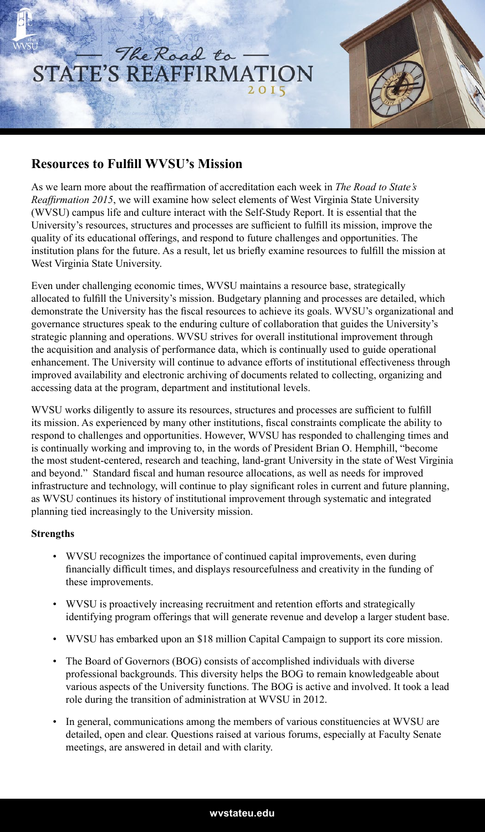

## **Resources to Fulfill WVSU's Mission**

As we learn more about the reaffirmation of accreditation each week in *The Road to State's Reaffirmation 2015*, we will examine how select elements of West Virginia State University (WVSU) campus life and culture interact with the Self-Study Report. It is essential that the University's resources, structures and processes are sufficient to fulfill its mission, improve the quality of its educational offerings, and respond to future challenges and opportunities. The institution plans for the future. As a result, let us briefly examine resources to fulfill the mission at West Virginia State University.

Even under challenging economic times, WVSU maintains a resource base, strategically allocated to fulfill the University's mission. Budgetary planning and processes are detailed, which demonstrate the University has the fiscal resources to achieve its goals. WVSU's organizational and governance structures speak to the enduring culture of collaboration that guides the University's strategic planning and operations. WVSU strives for overall institutional improvement through the acquisition and analysis of performance data, which is continually used to guide operational enhancement. The University will continue to advance efforts of institutional effectiveness through improved availability and electronic archiving of documents related to collecting, organizing and accessing data at the program, department and institutional levels.

WVSU works diligently to assure its resources, structures and processes are sufficient to fulfill its mission. As experienced by many other institutions, fiscal constraints complicate the ability to respond to challenges and opportunities. However, WVSU has responded to challenging times and is continually working and improving to, in the words of President Brian O. Hemphill, "become the most student-centered, research and teaching, land-grant University in the state of West Virginia and beyond." Standard fiscal and human resource allocations, as well as needs for improved infrastructure and technology, will continue to play significant roles in current and future planning, as WVSU continues its history of institutional improvement through systematic and integrated planning tied increasingly to the University mission.

## **Strengths**

- WVSU recognizes the importance of continued capital improvements, even during financially difficult times, and displays resourcefulness and creativity in the funding of these improvements.
- WVSU is proactively increasing recruitment and retention efforts and strategically identifying program offerings that will generate revenue and develop a larger student base.
- WVSU has embarked upon an \$18 million Capital Campaign to support its core mission.
- The Board of Governors (BOG) consists of accomplished individuals with diverse professional backgrounds. This diversity helps the BOG to remain knowledgeable about various aspects of the University functions. The BOG is active and involved. It took a lead role during the transition of administration at WVSU in 2012.
- In general, communications among the members of various constituencies at WVSU are detailed, open and clear. Questions raised at various forums, especially at Faculty Senate meetings, are answered in detail and with clarity.